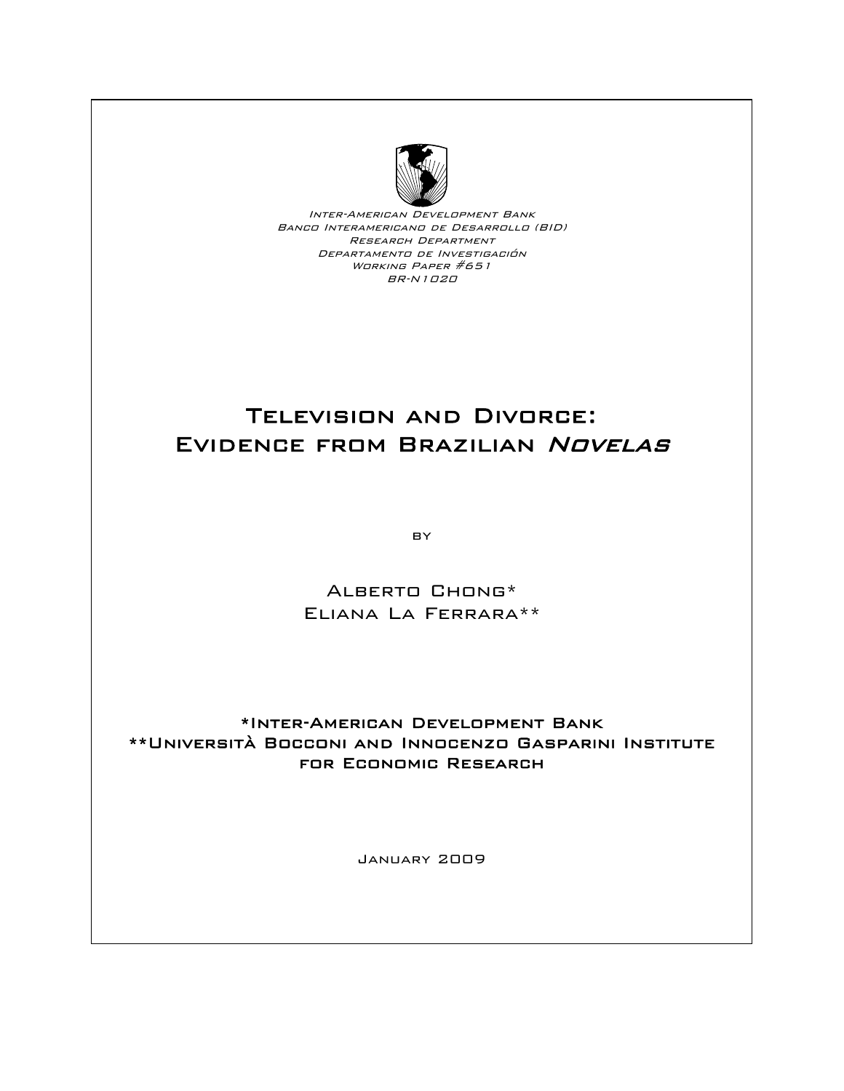

Inter-American Development Bank Banco Interamericano de Desarrollo (BID) Research Department Departamento de Investigación Working Paper #651 BR-N1020

# Television and Divorce: EVIDENCE FROM BRAZILIAN NOVELAS

BY

Alberto Chong\* Eliana La Ferrara\*\*

## \*Inter-American Development Bank \*\*Università Bocconi and Innocenzo Gasparini Institute for Economic Research

January 2009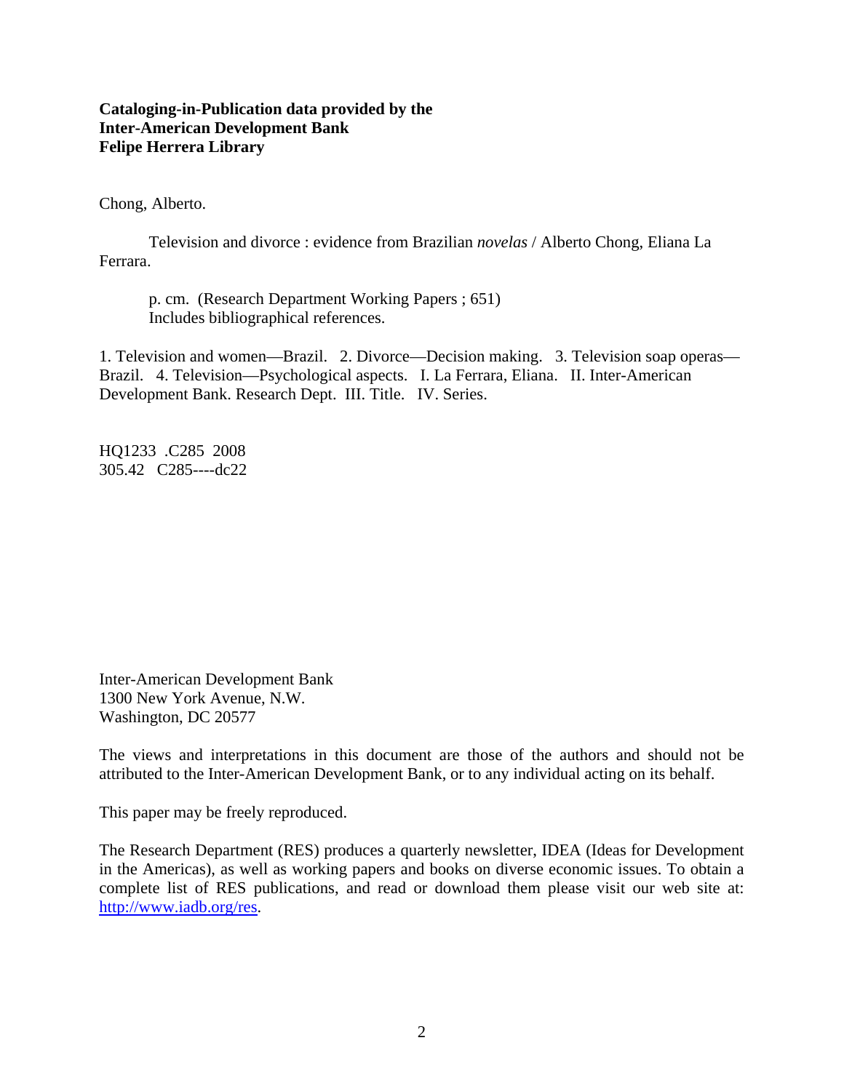## **Cataloging-in-Publication data provided by the Inter-American Development Bank Felipe Herrera Library**

Chong, Alberto.

Television and divorce : evidence from Brazilian *novelas* / Alberto Chong, Eliana La Ferrara.

p. cm. (Research Department Working Papers ; 651) Includes bibliographical references.

1. Television and women—Brazil. 2. Divorce—Decision making. 3. Television soap operas— Brazil. 4. Television—Psychological aspects. I. La Ferrara, Eliana. II. Inter-American Development Bank. Research Dept. III. Title. IV. Series.

HQ1233 .C285 2008 305.42 C285----dc22

Inter-American Development Bank 1300 New York Avenue, N.W. Washington, DC 20577

The views and interpretations in this document are those of the authors and should not be attributed to the Inter-American Development Bank, or to any individual acting on its behalf.

This paper may be freely reproduced.

The Research Department (RES) produces a quarterly newsletter, IDEA (Ideas for Development in the Americas), as well as working papers and books on diverse economic issues. To obtain a complete list of RES publications, and read or download them please visit our web site at: http://www.iadb.org/res.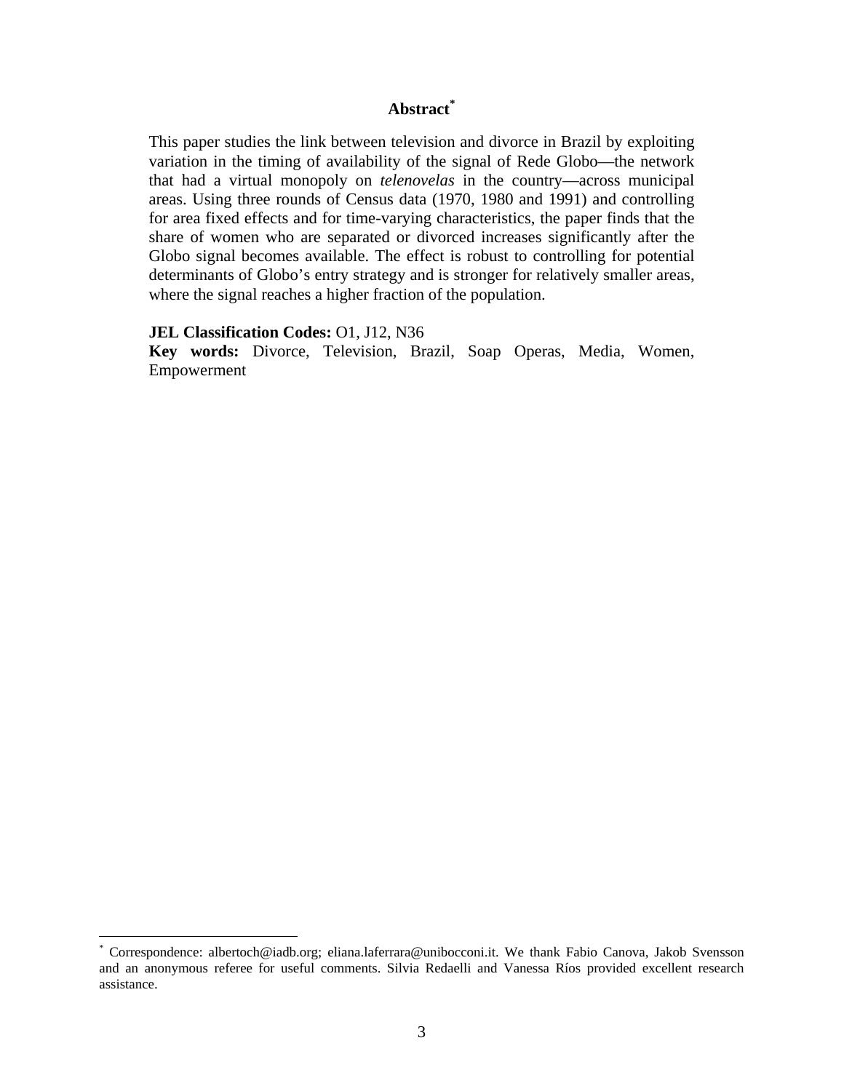## **Abstract\***

This paper studies the link between television and divorce in Brazil by exploiting variation in the timing of availability of the signal of Rede Globo—the network that had a virtual monopoly on *telenovelas* in the country—across municipal areas. Using three rounds of Census data (1970, 1980 and 1991) and controlling for area fixed effects and for time-varying characteristics, the paper finds that the share of women who are separated or divorced increases significantly after the Globo signal becomes available. The effect is robust to controlling for potential determinants of Globo's entry strategy and is stronger for relatively smaller areas, where the signal reaches a higher fraction of the population.

#### **JEL Classification Codes:** O1, J12, N36

 $\overline{a}$ 

**Key words:** Divorce, Television, Brazil, Soap Operas, Media, Women, Empowerment

<sup>\*</sup> Correspondence: albertoch@iadb.org; eliana.laferrara@unibocconi.it. We thank Fabio Canova, Jakob Svensson and an anonymous referee for useful comments. Silvia Redaelli and Vanessa Ríos provided excellent research assistance.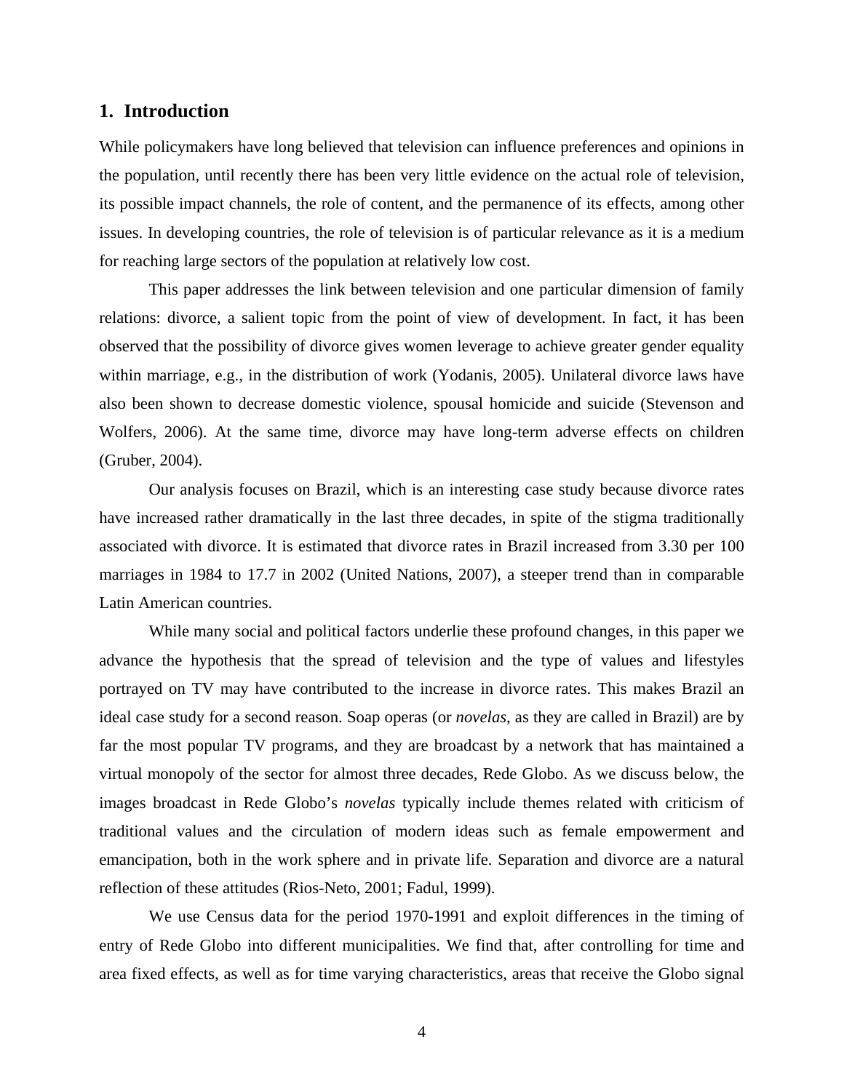### **1. Introduction**

While policymakers have long believed that television can influence preferences and opinions in the population, until recently there has been very little evidence on the actual role of television, its possible impact channels, the role of content, and the permanence of its effects, among other issues. In developing countries, the role of television is of particular relevance as it is a medium for reaching large sectors of the population at relatively low cost.

This paper addresses the link between television and one particular dimension of family relations: divorce, a salient topic from the point of view of development. In fact, it has been observed that the possibility of divorce gives women leverage to achieve greater gender equality within marriage, e.g., in the distribution of work (Yodanis, 2005). Unilateral divorce laws have also been shown to decrease domestic violence, spousal homicide and suicide (Stevenson and Wolfers, 2006). At the same time, divorce may have long-term adverse effects on children (Gruber, 2004).

Our analysis focuses on Brazil, which is an interesting case study because divorce rates have increased rather dramatically in the last three decades, in spite of the stigma traditionally associated with divorce. It is estimated that divorce rates in Brazil increased from 3.30 per 100 marriages in 1984 to 17.7 in 2002 (United Nations, 2007), a steeper trend than in comparable Latin American countries.

While many social and political factors underlie these profound changes, in this paper we advance the hypothesis that the spread of television and the type of values and lifestyles portrayed on TV may have contributed to the increase in divorce rates. This makes Brazil an ideal case study for a second reason. Soap operas (or *novelas*, as they are called in Brazil) are by far the most popular TV programs, and they are broadcast by a network that has maintained a virtual monopoly of the sector for almost three decades, Rede Globo. As we discuss below, the images broadcast in Rede Globo's *novelas* typically include themes related with criticism of traditional values and the circulation of modern ideas such as female empowerment and emancipation, both in the work sphere and in private life. Separation and divorce are a natural reflection of these attitudes (Rios-Neto, 2001; Fadul, 1999).

We use Census data for the period 1970-1991 and exploit differences in the timing of entry of Rede Globo into different municipalities. We find that, after controlling for time and area fixed effects, as well as for time varying characteristics, areas that receive the Globo signal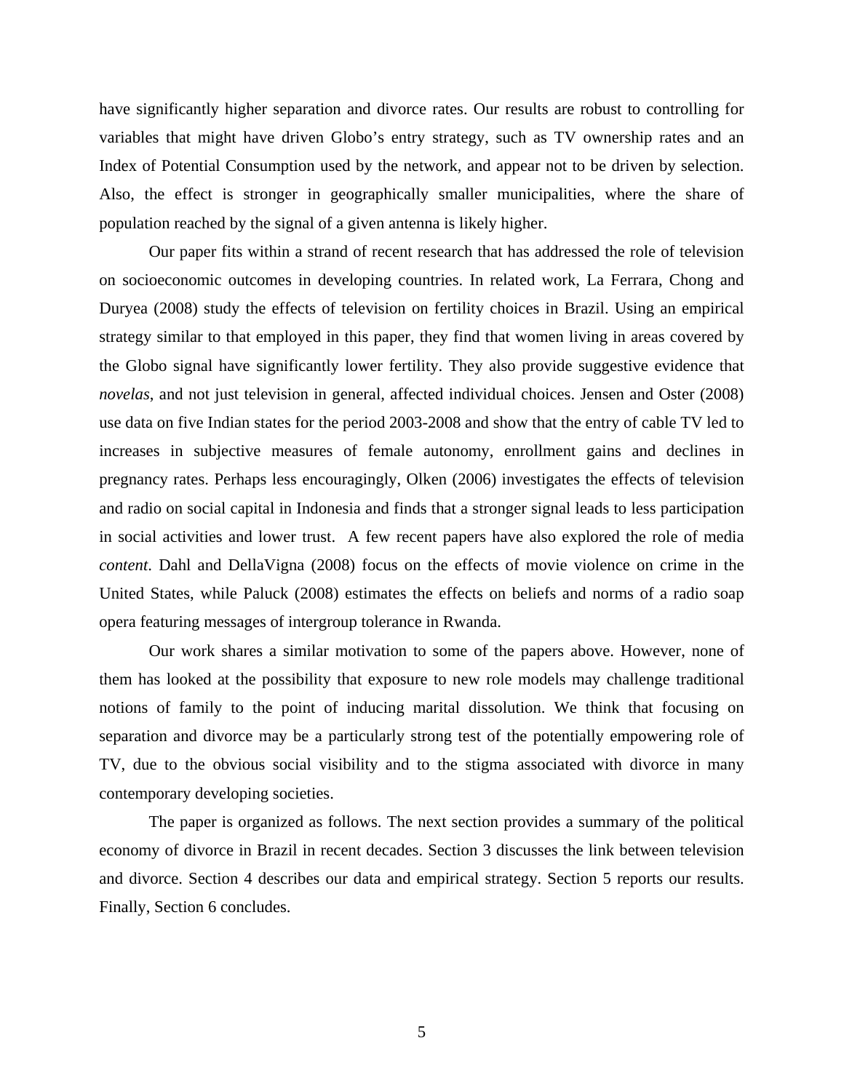have significantly higher separation and divorce rates. Our results are robust to controlling for variables that might have driven Globo's entry strategy, such as TV ownership rates and an Index of Potential Consumption used by the network, and appear not to be driven by selection. Also, the effect is stronger in geographically smaller municipalities, where the share of population reached by the signal of a given antenna is likely higher.

Our paper fits within a strand of recent research that has addressed the role of television on socioeconomic outcomes in developing countries. In related work, La Ferrara, Chong and Duryea (2008) study the effects of television on fertility choices in Brazil. Using an empirical strategy similar to that employed in this paper, they find that women living in areas covered by the Globo signal have significantly lower fertility. They also provide suggestive evidence that *novelas*, and not just television in general, affected individual choices. Jensen and Oster (2008) use data on five Indian states for the period 2003-2008 and show that the entry of cable TV led to increases in subjective measures of female autonomy, enrollment gains and declines in pregnancy rates. Perhaps less encouragingly, Olken (2006) investigates the effects of television and radio on social capital in Indonesia and finds that a stronger signal leads to less participation in social activities and lower trust. A few recent papers have also explored the role of media *content*. Dahl and DellaVigna (2008) focus on the effects of movie violence on crime in the United States, while Paluck (2008) estimates the effects on beliefs and norms of a radio soap opera featuring messages of intergroup tolerance in Rwanda.

Our work shares a similar motivation to some of the papers above. However, none of them has looked at the possibility that exposure to new role models may challenge traditional notions of family to the point of inducing marital dissolution. We think that focusing on separation and divorce may be a particularly strong test of the potentially empowering role of TV, due to the obvious social visibility and to the stigma associated with divorce in many contemporary developing societies.

The paper is organized as follows. The next section provides a summary of the political economy of divorce in Brazil in recent decades. Section 3 discusses the link between television and divorce. Section 4 describes our data and empirical strategy. Section 5 reports our results. Finally, Section 6 concludes.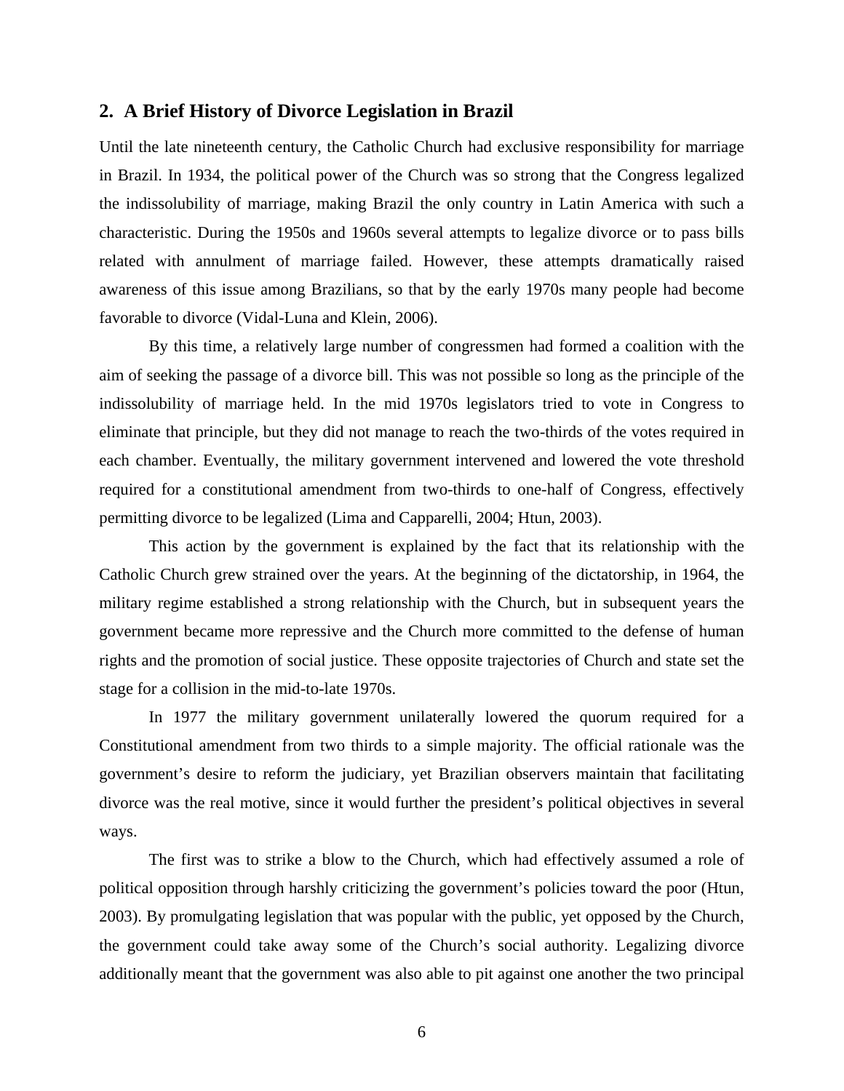#### **2. A Brief History of Divorce Legislation in Brazil**

Until the late nineteenth century, the Catholic Church had exclusive responsibility for marriage in Brazil. In 1934, the political power of the Church was so strong that the Congress legalized the indissolubility of marriage, making Brazil the only country in Latin America with such a characteristic. During the 1950s and 1960s several attempts to legalize divorce or to pass bills related with annulment of marriage failed. However, these attempts dramatically raised awareness of this issue among Brazilians, so that by the early 1970s many people had become favorable to divorce (Vidal-Luna and Klein, 2006).

By this time, a relatively large number of congressmen had formed a coalition with the aim of seeking the passage of a divorce bill. This was not possible so long as the principle of the indissolubility of marriage held. In the mid 1970s legislators tried to vote in Congress to eliminate that principle, but they did not manage to reach the two-thirds of the votes required in each chamber. Eventually, the military government intervened and lowered the vote threshold required for a constitutional amendment from two-thirds to one-half of Congress, effectively permitting divorce to be legalized (Lima and Capparelli, 2004; Htun, 2003).

This action by the government is explained by the fact that its relationship with the Catholic Church grew strained over the years. At the beginning of the dictatorship, in 1964, the military regime established a strong relationship with the Church, but in subsequent years the government became more repressive and the Church more committed to the defense of human rights and the promotion of social justice. These opposite trajectories of Church and state set the stage for a collision in the mid-to-late 1970s.

In 1977 the military government unilaterally lowered the quorum required for a Constitutional amendment from two thirds to a simple majority. The official rationale was the government's desire to reform the judiciary, yet Brazilian observers maintain that facilitating divorce was the real motive, since it would further the president's political objectives in several ways.

The first was to strike a blow to the Church, which had effectively assumed a role of political opposition through harshly criticizing the government's policies toward the poor (Htun, 2003). By promulgating legislation that was popular with the public, yet opposed by the Church, the government could take away some of the Church's social authority. Legalizing divorce additionally meant that the government was also able to pit against one another the two principal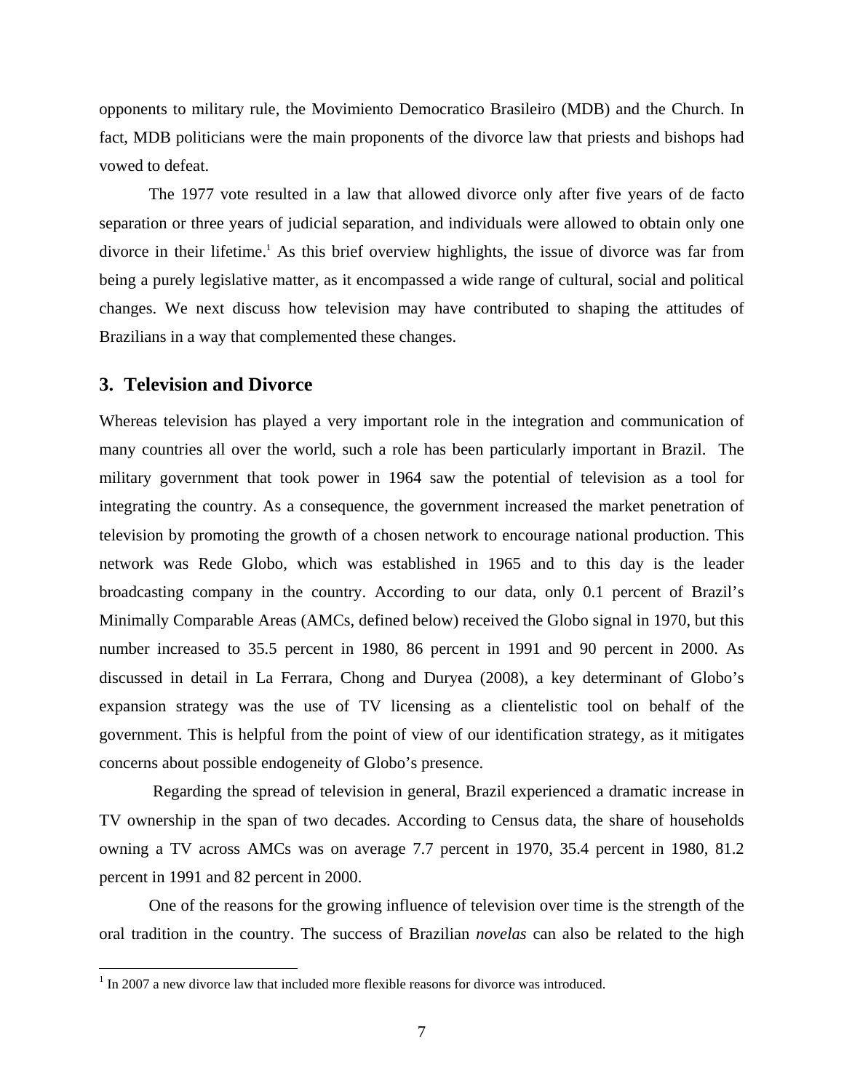opponents to military rule, the Movimiento Democratico Brasileiro (MDB) and the Church. In fact, MDB politicians were the main proponents of the divorce law that priests and bishops had vowed to defeat.

The 1977 vote resulted in a law that allowed divorce only after five years of de facto separation or three years of judicial separation, and individuals were allowed to obtain only one divorce in their lifetime.<sup>1</sup> As this brief overview highlights, the issue of divorce was far from being a purely legislative matter, as it encompassed a wide range of cultural, social and political changes. We next discuss how television may have contributed to shaping the attitudes of Brazilians in a way that complemented these changes.

### **3. Television and Divorce**

 $\overline{a}$ 

Whereas television has played a very important role in the integration and communication of many countries all over the world, such a role has been particularly important in Brazil. The military government that took power in 1964 saw the potential of television as a tool for integrating the country. As a consequence, the government increased the market penetration of television by promoting the growth of a chosen network to encourage national production. This network was Rede Globo, which was established in 1965 and to this day is the leader broadcasting company in the country. According to our data, only 0.1 percent of Brazil's Minimally Comparable Areas (AMCs, defined below) received the Globo signal in 1970, but this number increased to 35.5 percent in 1980, 86 percent in 1991 and 90 percent in 2000. As discussed in detail in La Ferrara, Chong and Duryea (2008), a key determinant of Globo's expansion strategy was the use of TV licensing as a clientelistic tool on behalf of the government. This is helpful from the point of view of our identification strategy, as it mitigates concerns about possible endogeneity of Globo's presence.

 Regarding the spread of television in general, Brazil experienced a dramatic increase in TV ownership in the span of two decades. According to Census data, the share of households owning a TV across AMCs was on average 7.7 percent in 1970, 35.4 percent in 1980, 81.2 percent in 1991 and 82 percent in 2000.

One of the reasons for the growing influence of television over time is the strength of the oral tradition in the country. The success of Brazilian *novelas* can also be related to the high

 $1$  In 2007 a new divorce law that included more flexible reasons for divorce was introduced.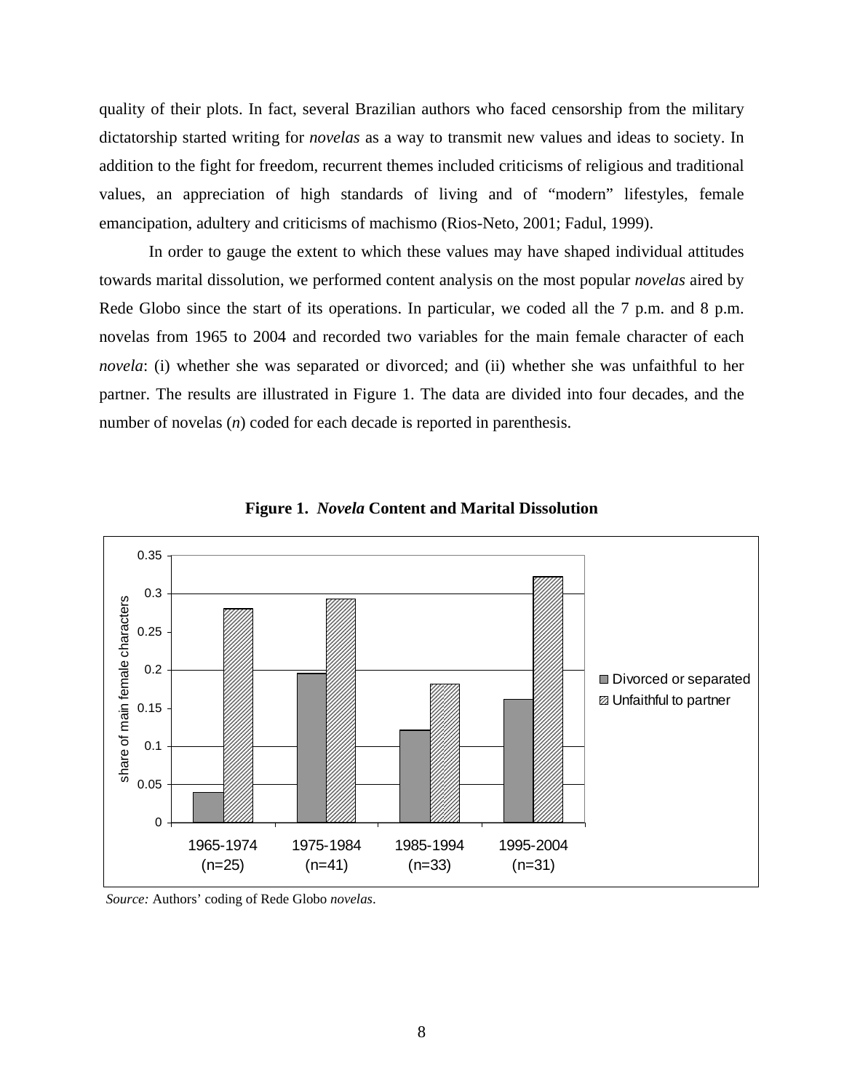quality of their plots. In fact, several Brazilian authors who faced censorship from the military dictatorship started writing for *novelas* as a way to transmit new values and ideas to society. In addition to the fight for freedom, recurrent themes included criticisms of religious and traditional values, an appreciation of high standards of living and of "modern" lifestyles, female emancipation, adultery and criticisms of machismo (Rios-Neto, 2001; Fadul, 1999).

In order to gauge the extent to which these values may have shaped individual attitudes towards marital dissolution, we performed content analysis on the most popular *novelas* aired by Rede Globo since the start of its operations. In particular, we coded all the 7 p.m. and 8 p.m. novelas from 1965 to 2004 and recorded two variables for the main female character of each *novela*: (i) whether she was separated or divorced; and (ii) whether she was unfaithful to her partner. The results are illustrated in Figure 1. The data are divided into four decades, and the number of novelas (*n*) coded for each decade is reported in parenthesis.



**Figure 1.** *Novela* **Content and Marital Dissolution** 

 *Source:* Authors' coding of Rede Globo *novelas*.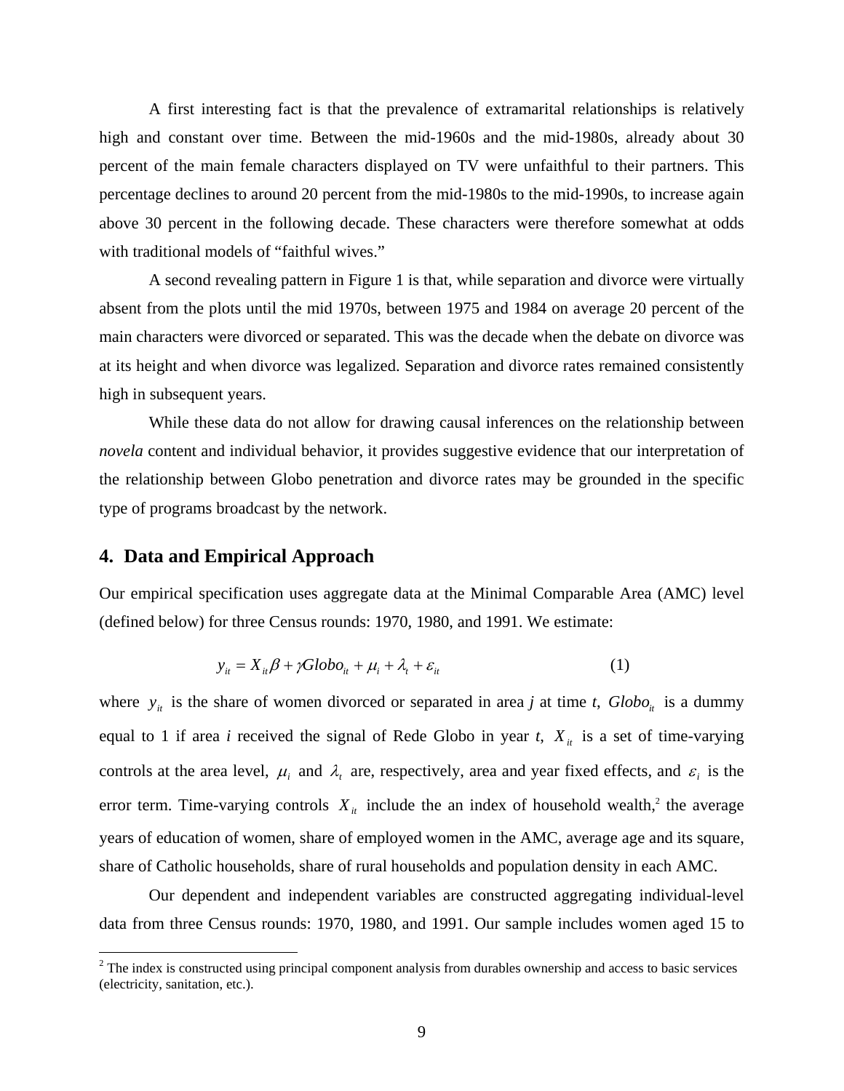A first interesting fact is that the prevalence of extramarital relationships is relatively high and constant over time. Between the mid-1960s and the mid-1980s, already about 30 percent of the main female characters displayed on TV were unfaithful to their partners. This percentage declines to around 20 percent from the mid-1980s to the mid-1990s, to increase again above 30 percent in the following decade. These characters were therefore somewhat at odds with traditional models of "faithful wives."

A second revealing pattern in Figure 1 is that, while separation and divorce were virtually absent from the plots until the mid 1970s, between 1975 and 1984 on average 20 percent of the main characters were divorced or separated. This was the decade when the debate on divorce was at its height and when divorce was legalized. Separation and divorce rates remained consistently high in subsequent years.

While these data do not allow for drawing causal inferences on the relationship between *novela* content and individual behavior, it provides suggestive evidence that our interpretation of the relationship between Globo penetration and divorce rates may be grounded in the specific type of programs broadcast by the network.

### **4. Data and Empirical Approach**

Our empirical specification uses aggregate data at the Minimal Comparable Area (AMC) level (defined below) for three Census rounds: 1970, 1980, and 1991. We estimate:

$$
y_{it} = X_{it}\beta + \gamma Globo_{it} + \mu_i + \lambda_t + \varepsilon_{it}
$$
 (1)

where  $y_i$  is the share of women divorced or separated in area *j* at time *t*,  $Globo_i$  is a dummy equal to 1 if area *i* received the signal of Rede Globo in year *t*,  $X_{it}$  is a set of time-varying controls at the area level,  $\mu_i$  and  $\lambda_i$  are, respectively, area and year fixed effects, and  $\varepsilon_i$  is the error term. Time-varying controls  $X_{it}$  include the an index of household wealth,<sup>2</sup> the average years of education of women, share of employed women in the AMC, average age and its square, share of Catholic households, share of rural households and population density in each AMC.

Our dependent and independent variables are constructed aggregating individual-level data from three Census rounds: 1970, 1980, and 1991. Our sample includes women aged 15 to

<sup>&</sup>lt;sup>2</sup> The index is constructed using principal component analysis from durables ownership and access to basic services (electricity, sanitation, etc.).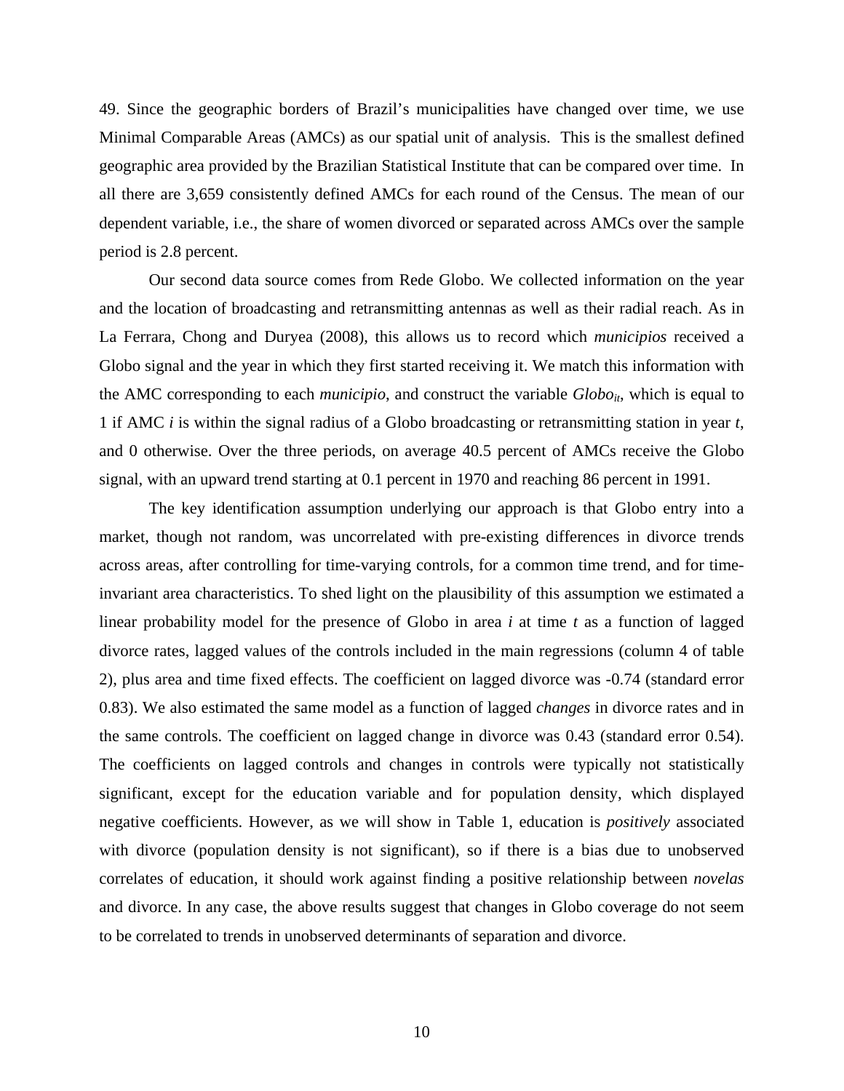49. Since the geographic borders of Brazil's municipalities have changed over time, we use Minimal Comparable Areas (AMCs) as our spatial unit of analysis. This is the smallest defined geographic area provided by the Brazilian Statistical Institute that can be compared over time. In all there are 3,659 consistently defined AMCs for each round of the Census. The mean of our dependent variable, i.e., the share of women divorced or separated across AMCs over the sample period is 2.8 percent.

 Our second data source comes from Rede Globo. We collected information on the year and the location of broadcasting and retransmitting antennas as well as their radial reach. As in La Ferrara, Chong and Duryea (2008), this allows us to record which *municipios* received a Globo signal and the year in which they first started receiving it. We match this information with the AMC corresponding to each *municipio*, and construct the variable *Globo<sub>it</sub>*, which is equal to 1 if AMC *i* is within the signal radius of a Globo broadcasting or retransmitting station in year *t*, and 0 otherwise. Over the three periods, on average 40.5 percent of AMCs receive the Globo signal, with an upward trend starting at 0.1 percent in 1970 and reaching 86 percent in 1991.

The key identification assumption underlying our approach is that Globo entry into a market, though not random, was uncorrelated with pre-existing differences in divorce trends across areas, after controlling for time-varying controls, for a common time trend, and for timeinvariant area characteristics. To shed light on the plausibility of this assumption we estimated a linear probability model for the presence of Globo in area *i* at time *t* as a function of lagged divorce rates, lagged values of the controls included in the main regressions (column 4 of table 2), plus area and time fixed effects. The coefficient on lagged divorce was -0.74 (standard error 0.83). We also estimated the same model as a function of lagged *changes* in divorce rates and in the same controls. The coefficient on lagged change in divorce was 0.43 (standard error 0.54). The coefficients on lagged controls and changes in controls were typically not statistically significant, except for the education variable and for population density, which displayed negative coefficients. However, as we will show in Table 1, education is *positively* associated with divorce (population density is not significant), so if there is a bias due to unobserved correlates of education, it should work against finding a positive relationship between *novelas* and divorce. In any case, the above results suggest that changes in Globo coverage do not seem to be correlated to trends in unobserved determinants of separation and divorce.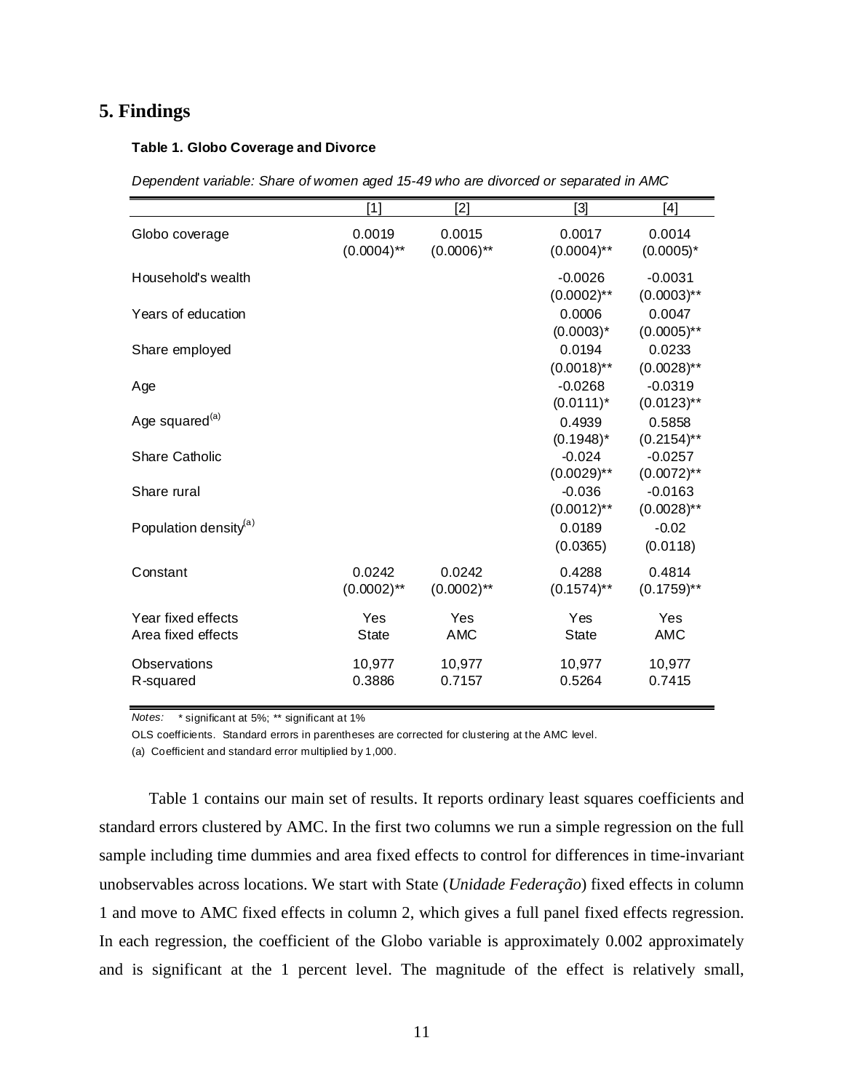## **5. Findings**

#### **Table 1. Globo Coverage and Divorce**

|  | Dependent variable: Share of women aged 15-49 who are divorced or separated in AMC |
|--|------------------------------------------------------------------------------------|
|  |                                                                                    |

|                                          | [1]                     | [2]                     | [3]                                       | [4]                                         |
|------------------------------------------|-------------------------|-------------------------|-------------------------------------------|---------------------------------------------|
| Globo coverage                           | 0.0019<br>$(0.0004)$ ** | 0.0015<br>$(0.0006)$ ** | 0.0017<br>$(0.0004)$ **                   | 0.0014<br>$(0.0005)^*$                      |
| Household's wealth                       |                         |                         | $-0.0026$<br>$(0.0002)$ **                | $-0.0031$<br>$(0.0003)$ **                  |
| Years of education                       |                         |                         | 0.0006<br>$(0.0003)^*$                    | 0.0047<br>$(0.0005)$ **                     |
| Share employed                           |                         |                         | 0.0194<br>$(0.0018)$ **                   | 0.0233<br>$(0.0028)$ **                     |
| Age                                      |                         |                         | $-0.0268$<br>$(0.0111)^*$                 | $-0.0319$<br>$(0.0123)$ **                  |
| Age squared <sup>(a)</sup>               |                         |                         | 0.4939                                    | 0.5858                                      |
| <b>Share Catholic</b>                    |                         |                         | $(0.1948)^*$<br>$-0.024$<br>$(0.0029)$ ** | $(0.2154)$ **<br>$-0.0257$<br>$(0.0072)$ ** |
| Share rural                              |                         |                         | $-0.036$<br>$(0.0012)$ **                 | $-0.0163$<br>$(0.0028)$ **                  |
| Population density <sup>(a)</sup>        |                         |                         | 0.0189<br>(0.0365)                        | $-0.02$<br>(0.0118)                         |
| Constant                                 | 0.0242<br>$(0.0002)$ ** | 0.0242<br>$(0.0002)$ ** | 0.4288<br>$(0.1574)$ **                   | 0.4814<br>$(0.1759)$ **                     |
| Year fixed effects<br>Area fixed effects | Yes<br><b>State</b>     | Yes<br><b>AMC</b>       | Yes<br>State                              | Yes<br><b>AMC</b>                           |
| Observations<br>R-squared                | 10,977<br>0.3886        | 10,977<br>0.7157        | 10,977<br>0.5264                          | 10,977<br>0.7415                            |

*Notes:* \* significant at 5%; \*\* significant at 1%

OLS coefficients. Standard errors in parentheses are corrected for clustering at the AMC level.

(a) Coefficient and standard error multiplied by 1,000.

Table 1 contains our main set of results. It reports ordinary least squares coefficients and standard errors clustered by AMC. In the first two columns we run a simple regression on the full sample including time dummies and area fixed effects to control for differences in time-invariant unobservables across locations. We start with State (*Unidade Federação*) fixed effects in column 1 and move to AMC fixed effects in column 2, which gives a full panel fixed effects regression. In each regression, the coefficient of the Globo variable is approximately 0.002 approximately and is significant at the 1 percent level. The magnitude of the effect is relatively small,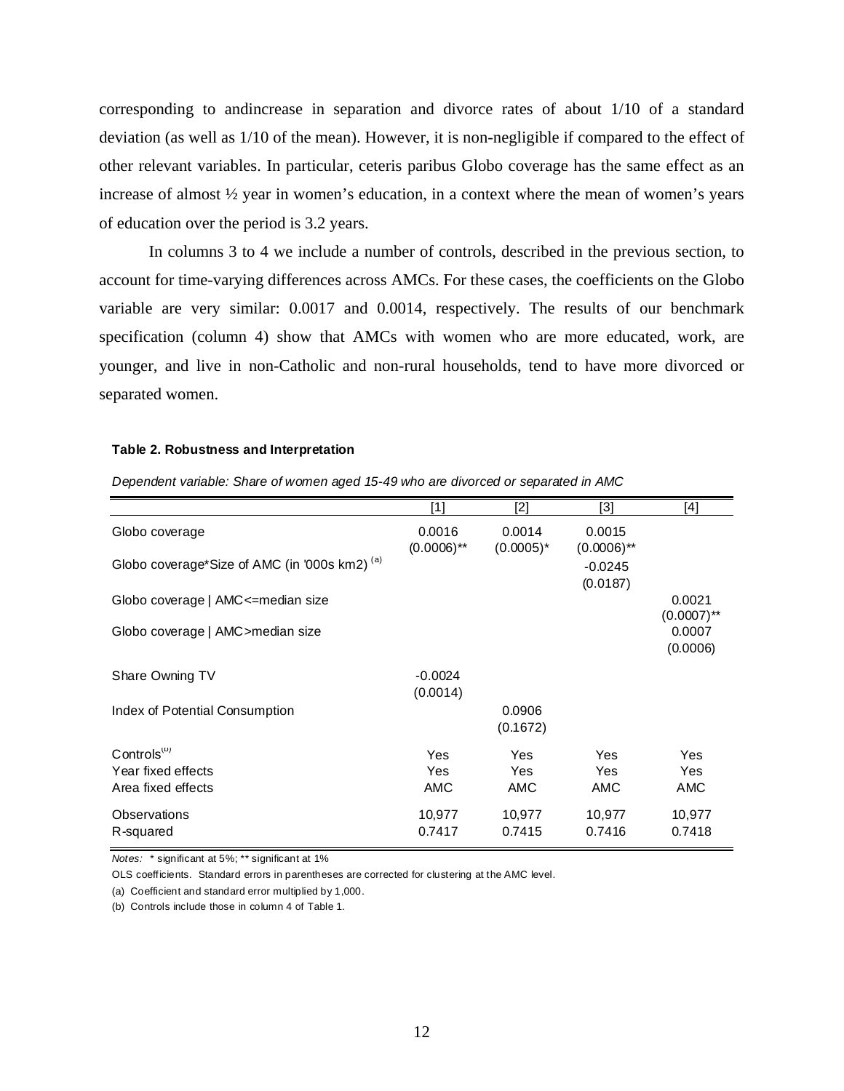corresponding to andincrease in separation and divorce rates of about 1/10 of a standard deviation (as well as 1/10 of the mean). However, it is non-negligible if compared to the effect of other relevant variables. In particular, ceteris paribus Globo coverage has the same effect as an increase of almost ½ year in women's education, in a context where the mean of women's years of education over the period is 3.2 years.

In columns 3 to 4 we include a number of controls, described in the previous section, to account for time-varying differences across AMCs. For these cases, the coefficients on the Globo variable are very similar: 0.0017 and 0.0014, respectively. The results of our benchmark specification (column 4) show that AMCs with women who are more educated, work, are younger, and live in non-Catholic and non-rural households, tend to have more divorced or separated women.

#### **Table 2. Robustness and Interpretation**

| Dependent variable: Share of women aged 15-49 who are divorced or separated in AMC |  |  |  |  |
|------------------------------------------------------------------------------------|--|--|--|--|
|                                                                                    |  |  |  |  |

|                                               | [1]                     | $[2]$                  | [3]                     | [4]                      |
|-----------------------------------------------|-------------------------|------------------------|-------------------------|--------------------------|
| Globo coverage                                | 0.0016<br>$(0.0006)$ ** | 0.0014<br>$(0.0005)^*$ | 0.0015<br>$(0.0006)$ ** |                          |
| Globo coverage*Size of AMC (in '000s km2) (a) |                         |                        | $-0.0245$<br>(0.0187)   |                          |
| Globo coverage   AMC <= median size           |                         |                        |                         | 0.0021<br>$(0.0007)$ **  |
| Globo coverage   AMC > median size            |                         |                        |                         | 0.0007<br>(0.0006)       |
| Share Owning TV                               | $-0.0024$<br>(0.0014)   |                        |                         |                          |
| Index of Potential Consumption                |                         | 0.0906<br>(0.1672)     |                         |                          |
| Controls <sup>(D)</sup>                       | <b>Yes</b>              | <b>Yes</b>             | <b>Yes</b>              | Yes                      |
| Year fixed effects<br>Area fixed effects      | Yes<br><b>AMC</b>       | Yes<br>AMC             | Yes<br>AMC              | <b>Yes</b><br><b>AMC</b> |
| Observations<br>R-squared                     | 10,977<br>0.7417        | 10,977<br>0.7415       | 10,977<br>0.7416        | 10,977<br>0.7418         |

*Notes:* \* significant at 5%; \*\* significant at 1%

OLS coefficients. Standard errors in parentheses are corrected for clustering at the AMC level.

(a) Coefficient and standard error multiplied by 1,000.

(b) Controls include those in column 4 of Table 1.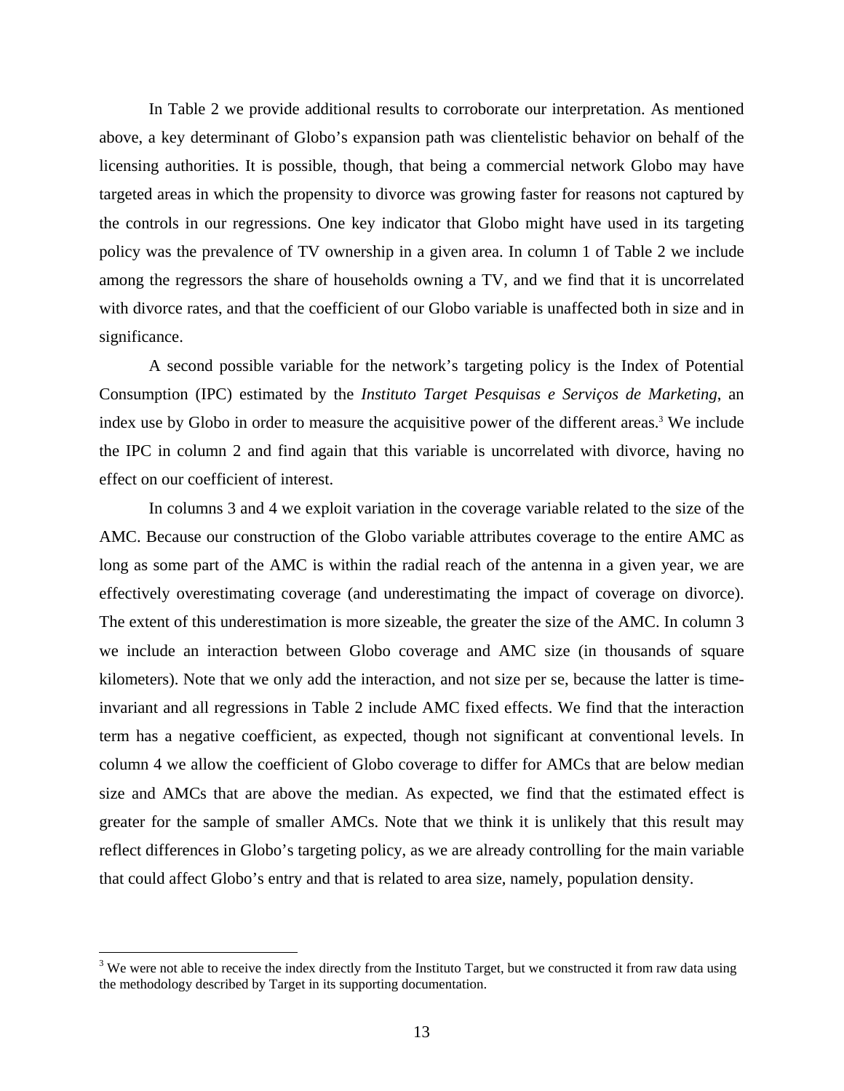In Table 2 we provide additional results to corroborate our interpretation. As mentioned above, a key determinant of Globo's expansion path was clientelistic behavior on behalf of the licensing authorities. It is possible, though, that being a commercial network Globo may have targeted areas in which the propensity to divorce was growing faster for reasons not captured by the controls in our regressions. One key indicator that Globo might have used in its targeting policy was the prevalence of TV ownership in a given area. In column 1 of Table 2 we include among the regressors the share of households owning a TV, and we find that it is uncorrelated with divorce rates, and that the coefficient of our Globo variable is unaffected both in size and in significance.

A second possible variable for the network's targeting policy is the Index of Potential Consumption (IPC) estimated by the *Instituto Target Pesquisas e Serviços de Marketing*, an index use by Globo in order to measure the acquisitive power of the different areas.<sup>3</sup> We include the IPC in column 2 and find again that this variable is uncorrelated with divorce, having no effect on our coefficient of interest.

In columns 3 and 4 we exploit variation in the coverage variable related to the size of the AMC. Because our construction of the Globo variable attributes coverage to the entire AMC as long as some part of the AMC is within the radial reach of the antenna in a given year, we are effectively overestimating coverage (and underestimating the impact of coverage on divorce). The extent of this underestimation is more sizeable, the greater the size of the AMC. In column 3 we include an interaction between Globo coverage and AMC size (in thousands of square kilometers). Note that we only add the interaction, and not size per se, because the latter is timeinvariant and all regressions in Table 2 include AMC fixed effects. We find that the interaction term has a negative coefficient, as expected, though not significant at conventional levels. In column 4 we allow the coefficient of Globo coverage to differ for AMCs that are below median size and AMCs that are above the median. As expected, we find that the estimated effect is greater for the sample of smaller AMCs. Note that we think it is unlikely that this result may reflect differences in Globo's targeting policy, as we are already controlling for the main variable that could affect Globo's entry and that is related to area size, namely, population density.

 $\overline{a}$ 

 $3$  We were not able to receive the index directly from the Instituto Target, but we constructed it from raw data using the methodology described by Target in its supporting documentation.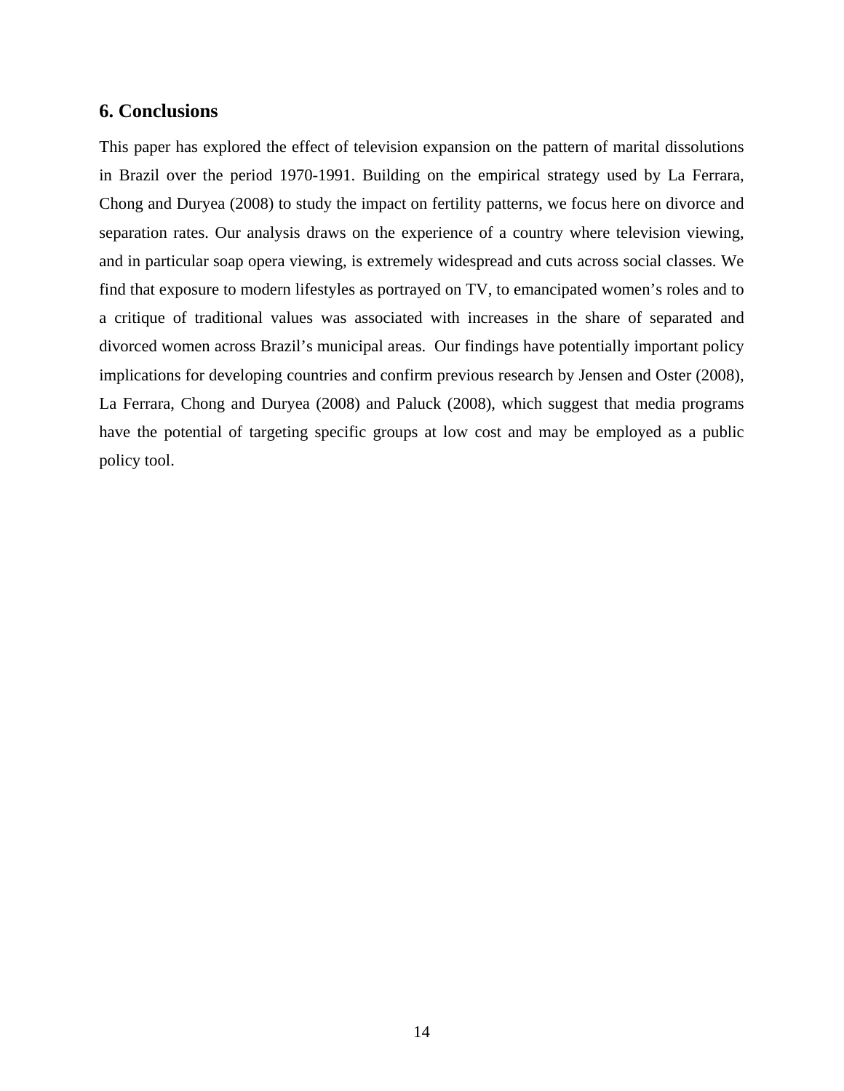## **6. Conclusions**

This paper has explored the effect of television expansion on the pattern of marital dissolutions in Brazil over the period 1970-1991. Building on the empirical strategy used by La Ferrara, Chong and Duryea (2008) to study the impact on fertility patterns, we focus here on divorce and separation rates. Our analysis draws on the experience of a country where television viewing, and in particular soap opera viewing, is extremely widespread and cuts across social classes. We find that exposure to modern lifestyles as portrayed on TV, to emancipated women's roles and to a critique of traditional values was associated with increases in the share of separated and divorced women across Brazil's municipal areas. Our findings have potentially important policy implications for developing countries and confirm previous research by Jensen and Oster (2008), La Ferrara, Chong and Duryea (2008) and Paluck (2008), which suggest that media programs have the potential of targeting specific groups at low cost and may be employed as a public policy tool.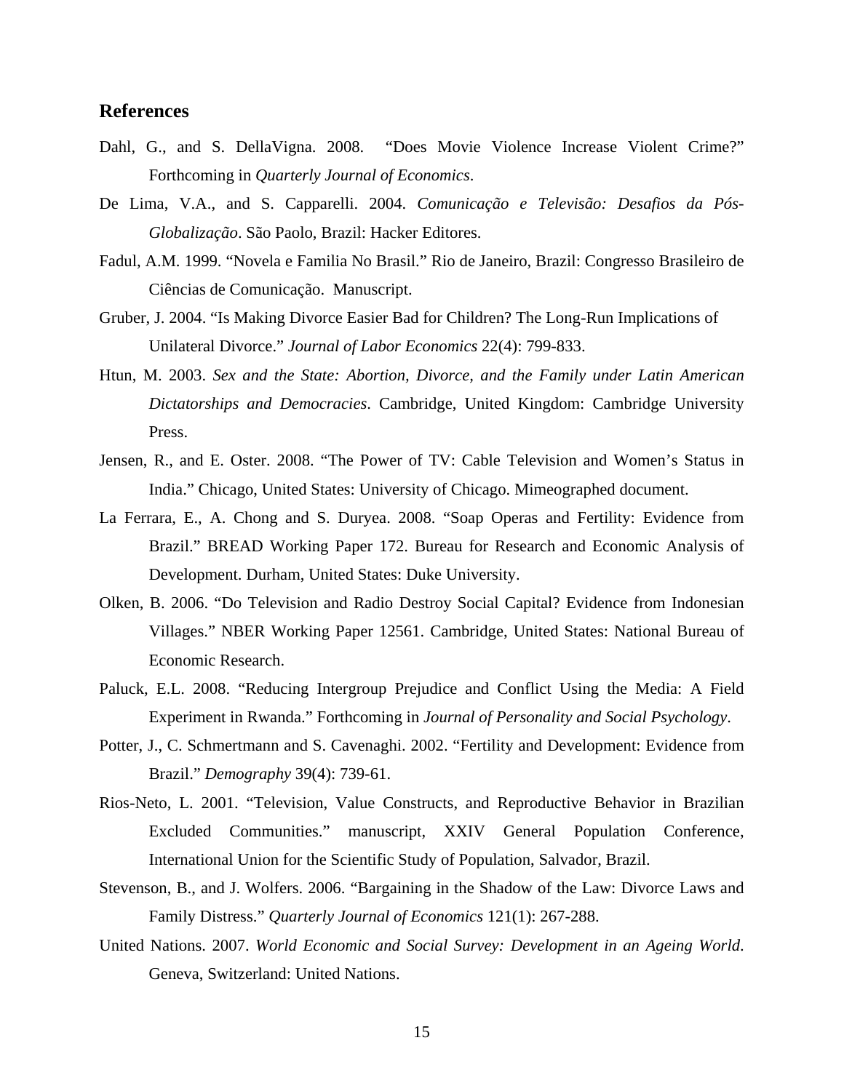### **References**

- Dahl, G., and S. DellaVigna. 2008. "Does Movie Violence Increase Violent Crime?" Forthcoming in *Quarterly Journal of Economics*.
- De Lima, V.A., and S. Capparelli. 2004. *Comunicação e Televisão: Desafios da Pós-Globalização*. São Paolo, Brazil: Hacker Editores.
- Fadul, A.M. 1999. "Novela e Familia No Brasil." Rio de Janeiro, Brazil: Congresso Brasileiro de Ciências de Comunicação. Manuscript.
- Gruber, J. 2004. "Is Making Divorce Easier Bad for Children? The Long-Run Implications of Unilateral Divorce." *Journal of Labor Economics* 22(4): 799-833.
- Htun, M. 2003. *Sex and the State: Abortion, Divorce, and the Family under Latin American Dictatorships and Democracies*. Cambridge, United Kingdom: Cambridge University Press.
- Jensen, R., and E. Oster. 2008. "The Power of TV: Cable Television and Women's Status in India." Chicago, United States: University of Chicago. Mimeographed document.
- La Ferrara, E., A. Chong and S. Duryea. 2008. "Soap Operas and Fertility: Evidence from Brazil." BREAD Working Paper 172. Bureau for Research and Economic Analysis of Development. Durham, United States: Duke University.
- Olken, B. 2006. "Do Television and Radio Destroy Social Capital? Evidence from Indonesian Villages." NBER Working Paper 12561. Cambridge, United States: National Bureau of Economic Research.
- Paluck, E.L. 2008. "Reducing Intergroup Prejudice and Conflict Using the Media: A Field Experiment in Rwanda." Forthcoming in *Journal of Personality and Social Psychology*.
- Potter, J., C. Schmertmann and S. Cavenaghi. 2002. "Fertility and Development: Evidence from Brazil." *Demography* 39(4): 739-61.
- Rios-Neto, L. 2001. "Television, Value Constructs, and Reproductive Behavior in Brazilian Excluded Communities." manuscript, XXIV General Population Conference, International Union for the Scientific Study of Population, Salvador, Brazil.
- Stevenson, B., and J. Wolfers. 2006. "Bargaining in the Shadow of the Law: Divorce Laws and Family Distress." *Quarterly Journal of Economics* 121(1): 267-288.
- United Nations. 2007. *World Economic and Social Survey: Development in an Ageing World*. Geneva, Switzerland: United Nations.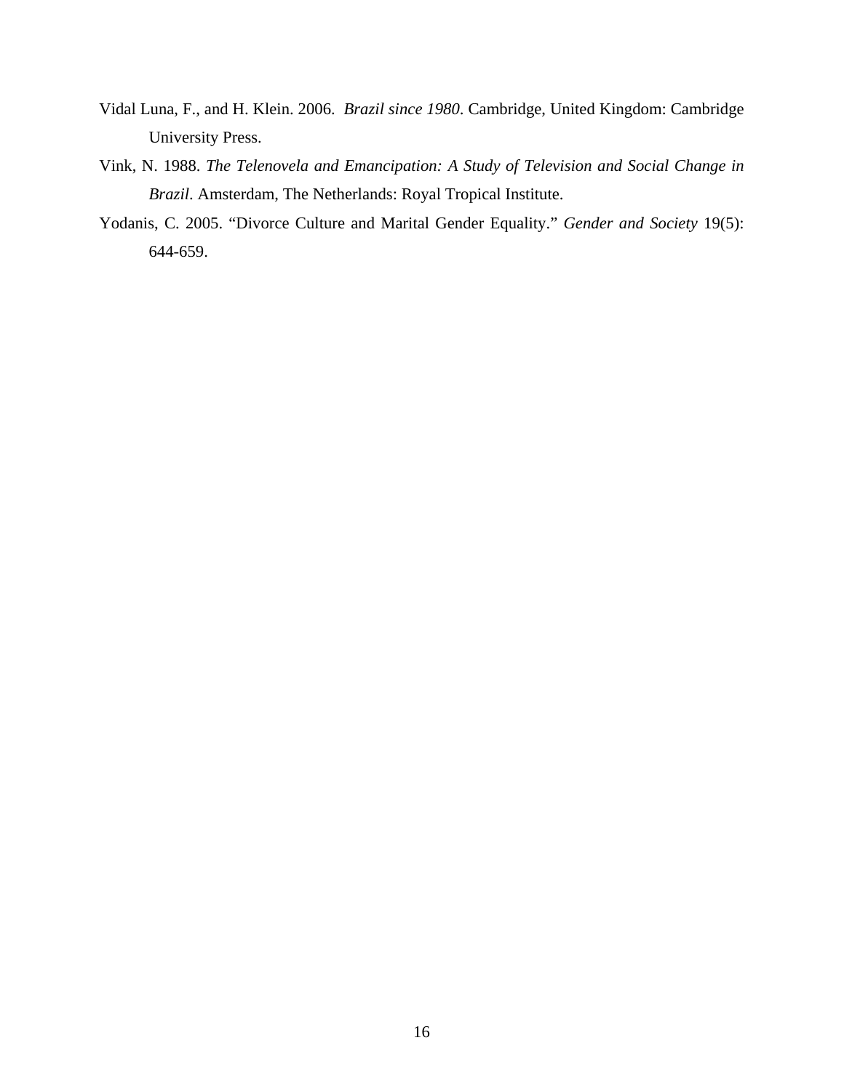- Vidal Luna, F., and H. Klein. 2006. *Brazil since 1980*. Cambridge, United Kingdom: Cambridge University Press.
- Vink, N. 1988. *The Telenovela and Emancipation: A Study of Television and Social Change in Brazil*. Amsterdam, The Netherlands: Royal Tropical Institute.
- Yodanis, C. 2005. "Divorce Culture and Marital Gender Equality." *Gender and Society* 19(5): 644-659.